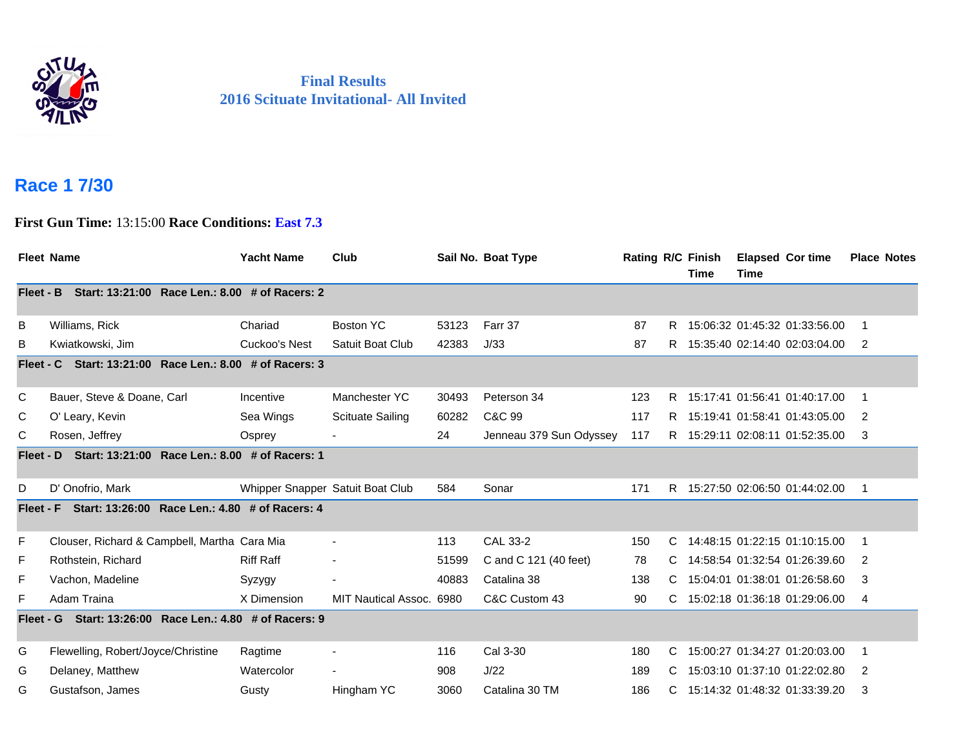

## **Final Results 2016 Scituate Invitational- All Invited**

## **Race 1 7/30**

**First Gun Time:** 13:15:00 **Race Conditions: East 7.3**

|           | <b>Fleet Name</b>                              | <b>Yacht Name</b>                | Club                     |       | Sail No. Boat Type      | <b>Rating R/C Finish</b> |    | <b>Time</b> | Time | <b>Elapsed Cor time</b>         | <b>Place Notes</b> |
|-----------|------------------------------------------------|----------------------------------|--------------------------|-------|-------------------------|--------------------------|----|-------------|------|---------------------------------|--------------------|
| Fleet - B | Start: 13:21:00 Race Len.: 8.00 # of Racers: 2 |                                  |                          |       |                         |                          |    |             |      |                                 |                    |
| B         | Williams, Rick                                 | Chariad                          | Boston YC                | 53123 | Farr 37                 | 87                       | R. |             |      | 15:06:32 01:45:32 01:33:56.00   | $\mathbf 1$        |
| B         | Kwiatkowski, Jim                               | Cuckoo's Nest                    | Satuit Boat Club         | 42383 | J/33                    | 87                       | R. |             |      | 15:35:40 02:14:40 02:03:04.00   | 2                  |
| Fleet - C | Start: 13:21:00 Race Len.: 8.00 # of Racers: 3 |                                  |                          |       |                         |                          |    |             |      |                                 |                    |
| C         | Bauer, Steve & Doane, Carl                     | Incentive                        | Manchester YC            | 30493 | Peterson 34             | 123                      |    |             |      | R 15:17:41 01:56:41 01:40:17.00 | $\mathbf 1$        |
| С         | O' Leary, Kevin                                | Sea Wings                        | <b>Scituate Sailing</b>  | 60282 | C&C 99                  | 117                      | R  |             |      | 15:19:41 01:58:41 01:43:05.00   | 2                  |
| С         | Rosen, Jeffrey                                 | Osprey                           |                          | 24    | Jenneau 379 Sun Odyssey | 117                      |    |             |      | R 15:29:11 02:08:11 01:52:35.00 | 3                  |
| Fleet - D | Start: 13:21:00 Race Len.: 8.00 # of Racers: 1 |                                  |                          |       |                         |                          |    |             |      |                                 |                    |
| D         | D' Onofrio, Mark                               | Whipper Snapper Satuit Boat Club |                          | 584   | Sonar                   | 171                      |    |             |      | R 15:27:50 02:06:50 01:44:02.00 | 1                  |
| Fleet - F | Start: 13:26:00 Race Len.: 4.80 # of Racers: 4 |                                  |                          |       |                         |                          |    |             |      |                                 |                    |
| F         | Clouser, Richard & Campbell, Martha Cara Mia   |                                  | $\overline{\phantom{a}}$ | 113   | CAL 33-2                | 150                      | C  |             |      | 14:48:15 01:22:15 01:10:15.00   | 1                  |
| F         | Rothstein, Richard                             | <b>Riff Raff</b>                 | $\blacksquare$           | 51599 | C and C 121 (40 feet)   | 78                       | C  |             |      | 14:58:54 01:32:54 01:26:39.60   | 2                  |
| F         | Vachon, Madeline                               | Syzygy                           | ۰                        | 40883 | Catalina 38             | 138                      | C  |             |      | 15:04:01 01:38:01 01:26:58.60   | 3                  |
| F         | Adam Traina                                    | X Dimension                      | MIT Nautical Assoc. 6980 |       | C&C Custom 43           | 90                       |    |             |      | 15:02:18 01:36:18 01:29:06.00   | 4                  |
| Fleet - G | Start: 13:26:00 Race Len.: 4.80 # of Racers: 9 |                                  |                          |       |                         |                          |    |             |      |                                 |                    |
| G         | Flewelling, Robert/Joyce/Christine             | Ragtime                          | $\blacksquare$           | 116   | Cal 3-30                | 180                      | C  |             |      | 15:00:27 01:34:27 01:20:03.00   | $\mathbf 1$        |
| G         | Delaney, Matthew                               | Watercolor                       |                          | 908   | J/22                    | 189                      | C  |             |      | 15:03:10 01:37:10 01:22:02.80   | 2                  |
| G         | Gustafson, James                               | Gusty                            | Hingham YC               | 3060  | Catalina 30 TM          | 186                      | C. |             |      | 15:14:32 01:48:32 01:33:39.20   | 3                  |